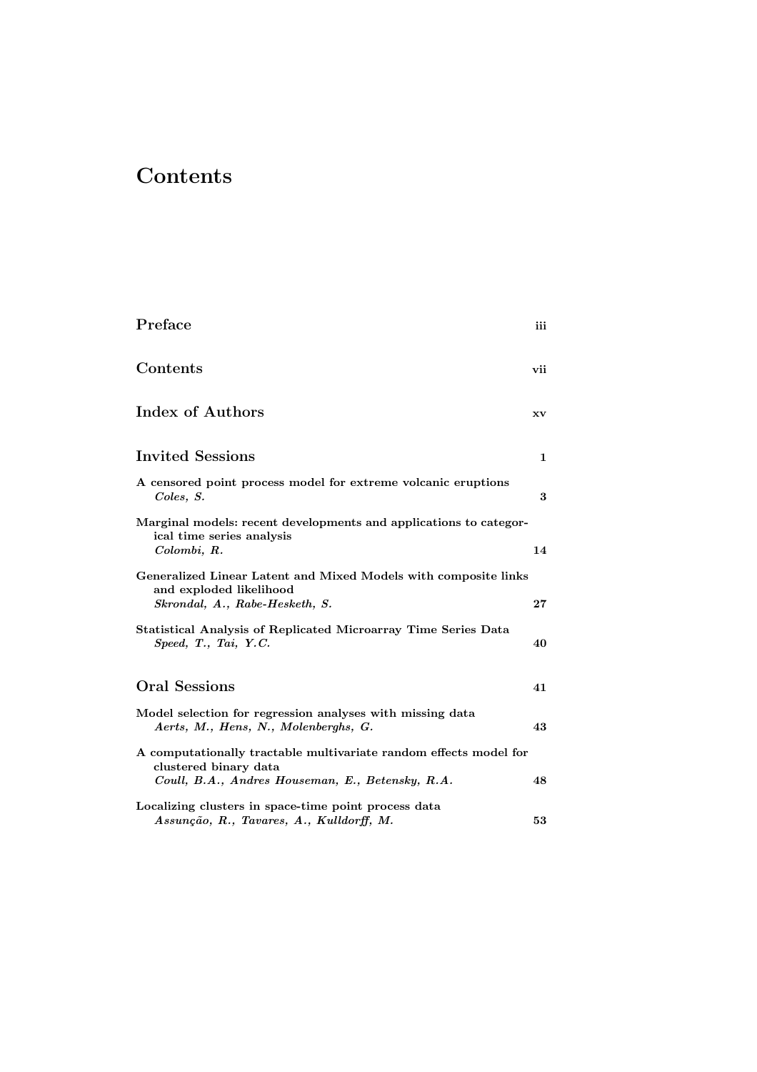## **Contents**

| Preface                                                                                                                      | iii |
|------------------------------------------------------------------------------------------------------------------------------|-----|
| Contents                                                                                                                     | vii |
| Index of Authors                                                                                                             | XV  |
| <b>Invited Sessions</b>                                                                                                      | 1   |
| A censored point process model for extreme volcanic eruptions<br>Coles, S.                                                   | 3   |
| Marginal models: recent developments and applications to categor-<br>ical time series analysis<br>Colombi, R.                | 14  |
| Generalized Linear Latent and Mixed Models with composite links<br>and exploded likelihood<br>Skrondal, A., Rabe-Hesketh, S. | 27  |
| Statistical Analysis of Replicated Microarray Time Series Data<br>Speed, T., Tai, Y.C.                                       | 40  |
| Oral Sessions                                                                                                                | 41  |
| Model selection for regression analyses with missing data<br>Aerts, M., Hens, N., Molenberghs, G.                            | 43  |
| A computationally tractable multivariate random effects model for<br>clustered binary data                                   | 48  |
| Coull, B.A., Andres Houseman, E., Betensky, R.A.<br>Localizing clusters in space-time point process data                     |     |
| Assunção, R., Tavares, A., Kulldorff, M.                                                                                     | 53  |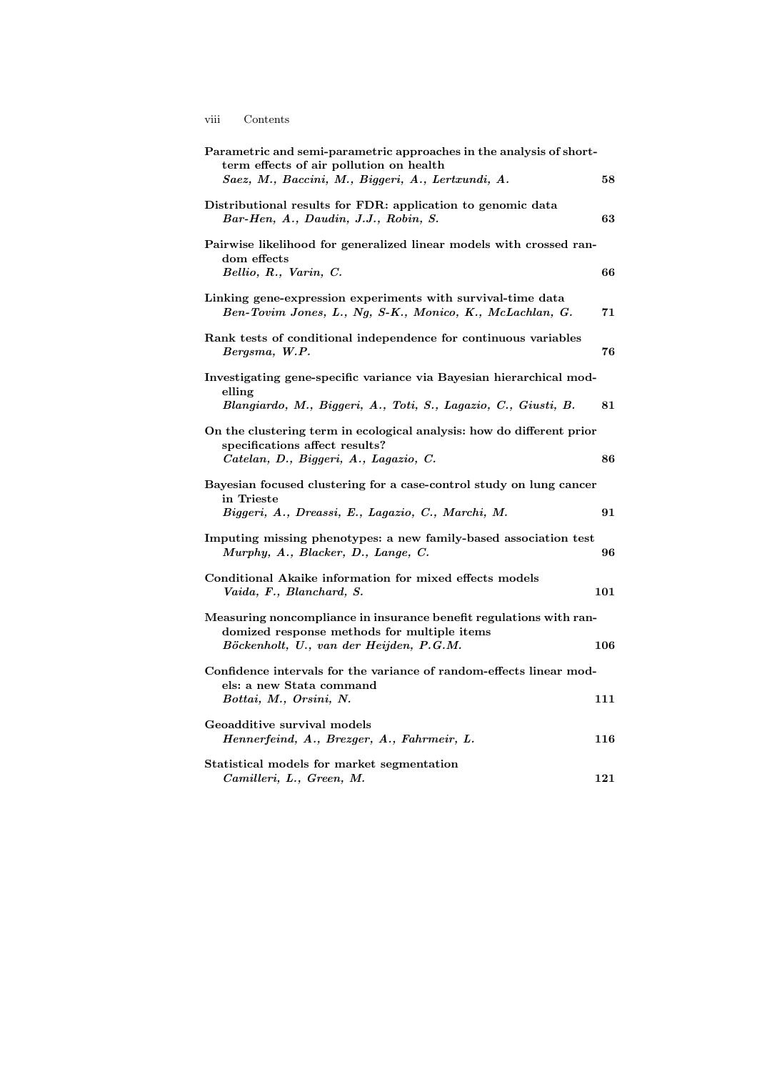viii Contents

| Parametric and semi-parametric approaches in the analysis of short-<br>term effects of air pollution on health<br>Saez, M., Baccini, M., Biggeri, A., Lertxundi, A. | 58  |
|---------------------------------------------------------------------------------------------------------------------------------------------------------------------|-----|
|                                                                                                                                                                     |     |
| Distributional results for FDR: application to genomic data<br>Bar-Hen, A., Daudin, J.J., Robin, S.                                                                 | 63  |
| Pairwise likelihood for generalized linear models with crossed ran-<br>dom effects<br>Bellio, R., Varin, C.                                                         | 66  |
|                                                                                                                                                                     |     |
| Linking gene-expression experiments with survival-time data<br>Ben-Tovim Jones, L., Ng, S-K., Monico, K., McLachlan, G.                                             | 71  |
| Rank tests of conditional independence for continuous variables<br>Bergsma, W.P.                                                                                    | 76  |
| Investigating gene-specific variance via Bayesian hierarchical mod-<br>elling                                                                                       |     |
| Blangiardo, M., Biggeri, A., Toti, S., Lagazio, C., Giusti, B.                                                                                                      | 81  |
| On the clustering term in ecological analysis: how do different prior<br>specifications affect results?                                                             |     |
| Catelan, D., Biggeri, A., Lagazio, C.                                                                                                                               | 86  |
| Bayesian focused clustering for a case-control study on lung cancer<br>in Trieste                                                                                   |     |
| Biggeri, A., Dreassi, E., Lagazio, C., Marchi, M.                                                                                                                   | 91  |
| Imputing missing phenotypes: a new family-based association test<br>Murphy, A., Blacker, D., Lange, C.                                                              | 96  |
| Conditional Akaike information for mixed effects models<br>Vaida, F., Blanchard, S.                                                                                 | 101 |
| Measuring noncompliance in insurance benefit regulations with ran-<br>domized response methods for multiple items                                                   |     |
| Böckenholt, U., van der Heijden, P.G.M.                                                                                                                             | 106 |
| Confidence intervals for the variance of random-effects linear mod-<br>els: a new Stata command                                                                     |     |
| Bottai, M., Orsini, N.                                                                                                                                              | 111 |
| Geoadditive survival models                                                                                                                                         |     |
| Hennerfeind, A., Brezger, A., Fahrmeir, L.                                                                                                                          | 116 |
| Statistical models for market segmentation<br>Camilleri, L., Green, M.                                                                                              | 121 |

$$
viii \qquad (
$$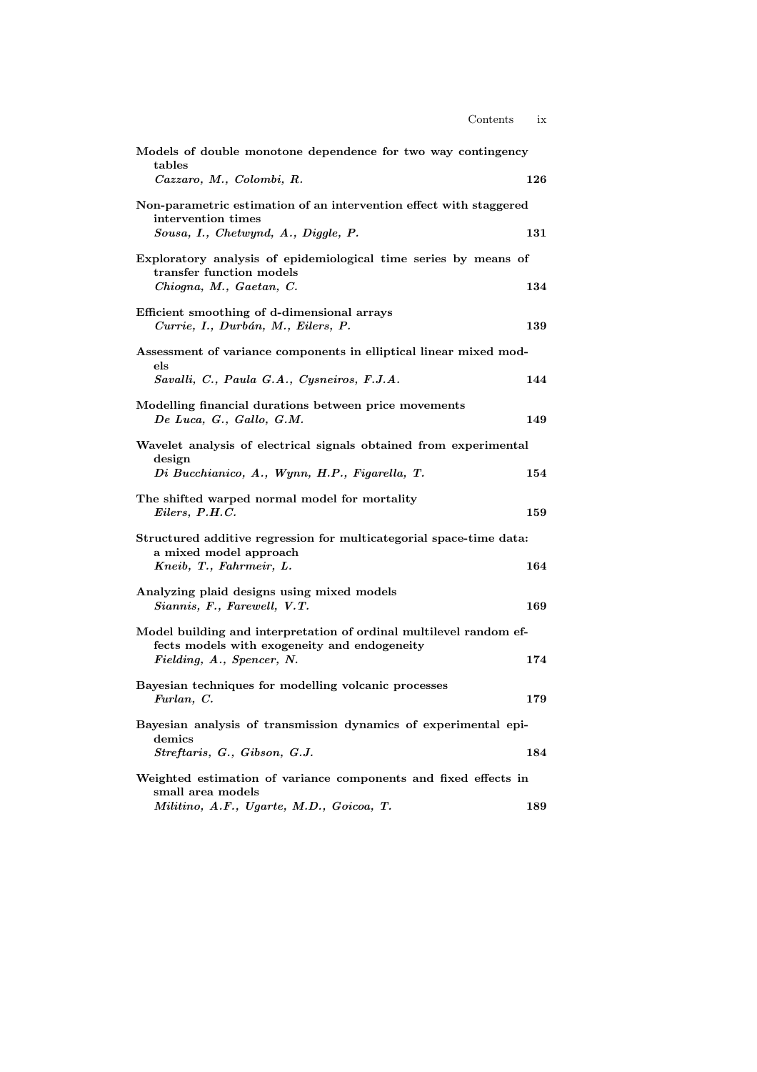| Models of double monotone dependence for two way contingency<br>tables<br>Cazzaro, M., Colombi, R.                                              | 126 |
|-------------------------------------------------------------------------------------------------------------------------------------------------|-----|
| Non-parametric estimation of an intervention effect with staggered<br>intervention times<br>Sousa, I., Chetwynd, A., Diggle, P.                 | 131 |
| Exploratory analysis of epidemiological time series by means of<br>transfer function models<br>Chiogna, M., Gaetan, C.                          | 134 |
| Efficient smoothing of d-dimensional arrays<br>Currie, I., Durbán, M., Eilers, P.                                                               | 139 |
| Assessment of variance components in elliptical linear mixed mod-<br>els<br>Savalli, C., Paula G.A., Cysneiros, F.J.A.                          | 144 |
| Modelling financial durations between price movements<br>De Luca, G., Gallo, G.M.                                                               | 149 |
| Wavelet analysis of electrical signals obtained from experimental<br>design                                                                     | 154 |
| Di Bucchianico, A., Wynn, H.P., Figarella, T.<br>The shifted warped normal model for mortality<br>Eilers, P.H.C.                                | 159 |
| Structured additive regression for multicategorial space-time data:<br>a mixed model approach<br>Kneib, T., Fahrmeir, L.                        | 164 |
| Analyzing plaid designs using mixed models<br>Siannis, F., Farewell, V.T.                                                                       | 169 |
| Model building and interpretation of ordinal multilevel random ef-<br>fects models with exogeneity and endogeneity<br>Fielding, A., Spencer, N. | 174 |
| Bayesian techniques for modelling volcanic processes<br>Furlan, C.                                                                              | 179 |
| Bayesian analysis of transmission dynamics of experimental epi-<br>${\rm demics}$                                                               |     |
| Streftaris, G., Gibson, G.J.<br>Weighted estimation of variance components and fixed effects in<br>small area models                            | 184 |
| Militino, A.F., Ugarte, M.D., Goicoa, T.                                                                                                        | 189 |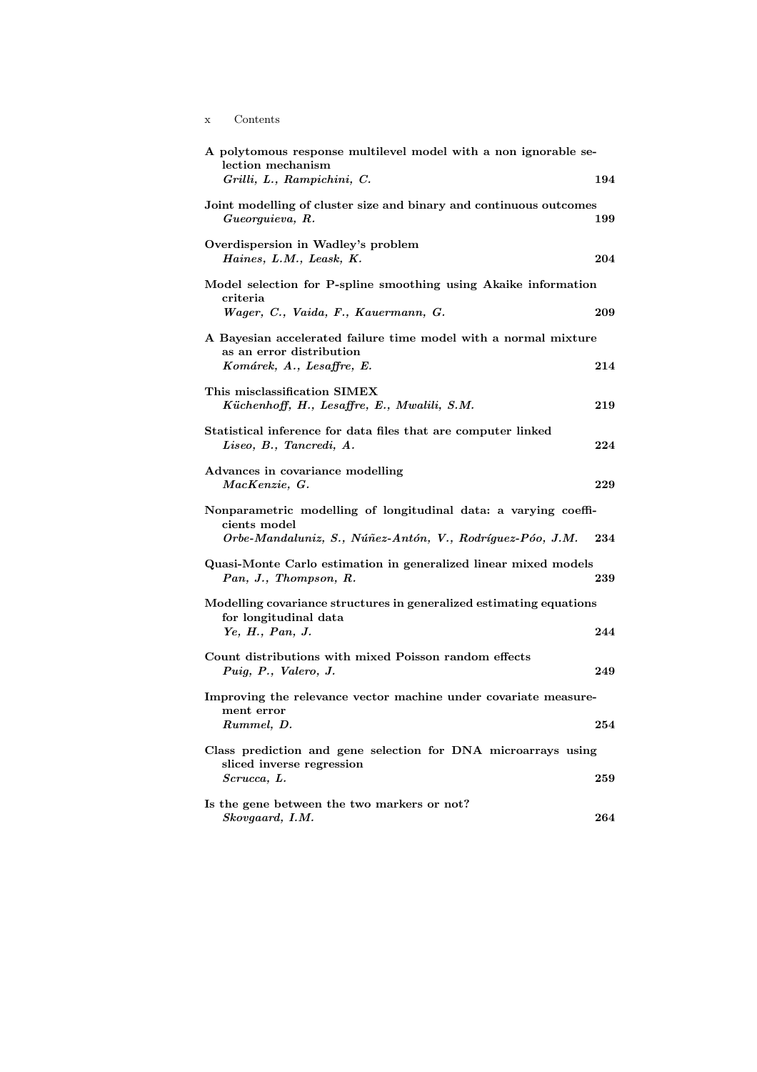x Contents

| A polytomous response multilevel model with a non ignorable se-<br>lection mechanism                                     |     |
|--------------------------------------------------------------------------------------------------------------------------|-----|
| Grilli, L., Rampichini, C.                                                                                               | 194 |
| Joint modelling of cluster size and binary and continuous outcomes<br>Gueorguieva, R.                                    | 199 |
| Overdispersion in Wadley's problem<br>Haines, L.M., Leask, K.                                                            | 204 |
| Model selection for P-spline smoothing using Akaike information<br>criteria                                              |     |
| Wager, C., Vaida, F., Kauermann, G.                                                                                      | 209 |
| A Bayesian accelerated failure time model with a normal mixture<br>as an error distribution<br>Komárek, A., Lesaffre, E. | 214 |
|                                                                                                                          |     |
| This misclassification SIMEX<br>Küchenhoff, H., Lesaffre, E., Mwalili, S.M.                                              | 219 |
| Statistical inference for data files that are computer linked<br>Liseo, B., Tancredi, A.                                 | 224 |
| Advances in covariance modelling<br>MacKenzie, G.                                                                        | 229 |
| Nonparametric modelling of longitudinal data: a varying coeffi-                                                          |     |
| cients model<br>Orbe-Mandaluniz, S., Núñez-Antón, V., Rodríguez-Póo, J.M.                                                | 234 |
| Quasi-Monte Carlo estimation in generalized linear mixed models<br>Pan, J., Thompson, R.                                 | 239 |
| Modelling covariance structures in generalized estimating equations                                                      |     |
| for longitudinal data<br>Ye, H., Pan, J.                                                                                 | 244 |
| Count distributions with mixed Poisson random effects<br>Puig, P., Valero, J.                                            | 249 |
| Improving the relevance vector machine under covariate measure-                                                          |     |
| ment error<br>Rummel, D.                                                                                                 | 254 |
| Class prediction and gene selection for DNA microarrays using                                                            |     |
| sliced inverse regression<br>Scrucca, L.                                                                                 | 259 |
| Is the gene between the two markers or not?<br>Skovgaard, I.M.                                                           | 264 |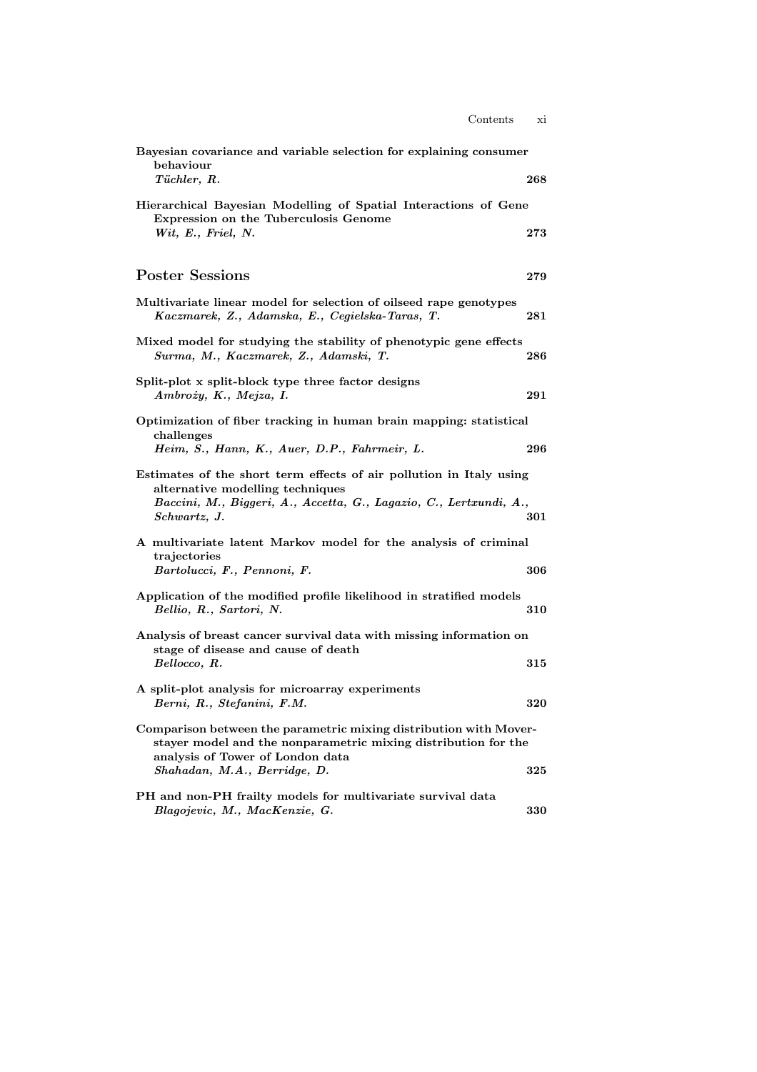| Bayesian covariance and variable selection for explaining consumer<br>behaviour<br>Tüchler, R.                                                                                                          | 268 |
|---------------------------------------------------------------------------------------------------------------------------------------------------------------------------------------------------------|-----|
| Hierarchical Bayesian Modelling of Spatial Interactions of Gene<br>Expression on the Tuberculosis Genome                                                                                                |     |
| Wit, E., Friel, N.                                                                                                                                                                                      | 273 |
| <b>Poster Sessions</b>                                                                                                                                                                                  | 279 |
| Multivariate linear model for selection of oilseed rape genotypes<br>Kaczmarek, Z., Adamska, E., Cegielska-Taras, T.                                                                                    | 281 |
| Mixed model for studying the stability of phenotypic gene effects<br>Surma, M., Kaczmarek, Z., Adamski, T.                                                                                              | 286 |
| Split-plot x split-block type three factor designs<br>Ambroży, K., Mejza, I.                                                                                                                            | 291 |
| Optimization of fiber tracking in human brain mapping: statistical<br>challenges<br>Heim, S., Hann, K., Auer, D.P., Fahrmeir, L.                                                                        | 296 |
| Estimates of the short term effects of air pollution in Italy using<br>alternative modelling techniques<br>Baccini, M., Biggeri, A., Accetta, G., Lagazio, C., Lertxundi, A.,<br>Schwartz, J.           | 301 |
| A multivariate latent Markov model for the analysis of criminal<br>trajectories<br>Bartolucci, F., Pennoni, F.                                                                                          | 306 |
| Application of the modified profile likelihood in stratified models<br>Bellio, R., Sartori, N.                                                                                                          | 310 |
| Analysis of breast cancer survival data with missing information on<br>stage of disease and cause of death<br>Bellocco, R.                                                                              | 315 |
| A split-plot analysis for microarray experiments<br>Berni, R., Stefanini, F.M.                                                                                                                          | 320 |
| Comparison between the parametric mixing distribution with Mover-<br>stayer model and the nonparametric mixing distribution for the<br>analysis of Tower of London data<br>Shahadan, M.A., Berridge, D. | 325 |
| PH and non-PH frailty models for multivariate survival data<br>Blagojevic, M., MacKenzie, G.                                                                                                            | 330 |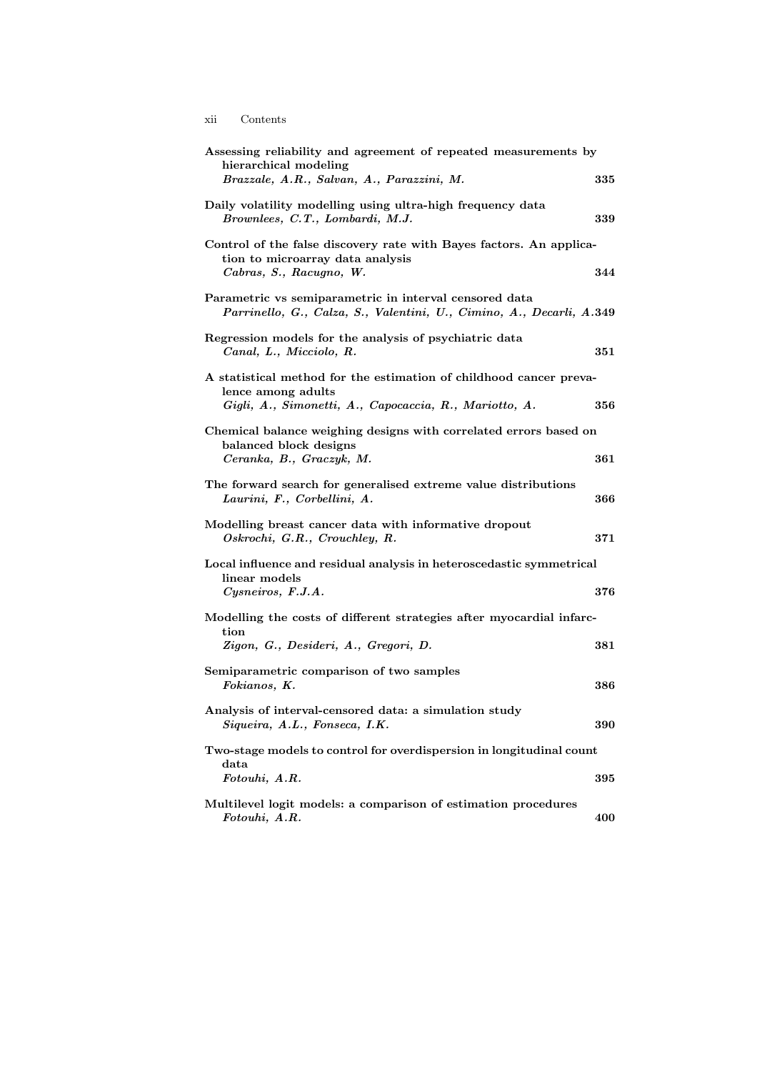xii Contents

| Assessing reliability and agreement of repeated measurements by<br>hierarchical modeling                                                           |            |
|----------------------------------------------------------------------------------------------------------------------------------------------------|------------|
| Brazzale, A.R., Salvan, A., Parazzini, M.                                                                                                          | 335        |
| Daily volatility modelling using ultra-high frequency data<br>Brownlees, C.T., Lombardi, M.J.                                                      | 339        |
| Control of the false discovery rate with Bayes factors. An applica-<br>tion to microarray data analysis<br>Cabras, S., Racugno, W.                 | 344        |
| Parametric vs semiparametric in interval censored data<br>Parrinello, G., Calza, S., Valentini, U., Cimino, A., Decarli, A.349                     |            |
| Regression models for the analysis of psychiatric data<br>Canal, L., Micciolo, R.                                                                  | 351        |
| A statistical method for the estimation of childhood cancer preva-<br>lence among adults<br>Gigli, A., Simonetti, A., Capocaccia, R., Mariotto, A. | 356        |
| Chemical balance weighing designs with correlated errors based on<br>balanced block designs<br>Ceranka, B., Graczyk, M.                            | $\bf{361}$ |
| The forward search for generalised extreme value distributions<br>Laurini, F., Corbellini, A.                                                      | 366        |
| Modelling breast cancer data with informative dropout<br>Oskrochi, G.R., Crouchley, R.                                                             | 371        |
| Local influence and residual analysis in heteroscedastic symmetrical<br>linear models                                                              |            |
| Cysneiros, F.J.A.                                                                                                                                  | 376        |
| Modelling the costs of different strategies after myocardial infarc-<br>tion                                                                       |            |
| Zigon, G., Desideri, A., Gregori, D.                                                                                                               | $381\,$    |
| Semiparametric comparison of two samples<br>Fokianos, K.                                                                                           | 386        |
| Analysis of interval-censored data: a simulation study<br>Siqueira, A.L., Fonseca, I.K.                                                            | 390        |
| Two-stage models to control for overdispersion in longitudinal count                                                                               |            |
| data<br>Fotouhi, A.R.                                                                                                                              | 395        |
| Multilevel logit models: a comparison of estimation procedures<br>Fotouhi, A.R.                                                                    | 400        |

$$
_{\rm ii}
$$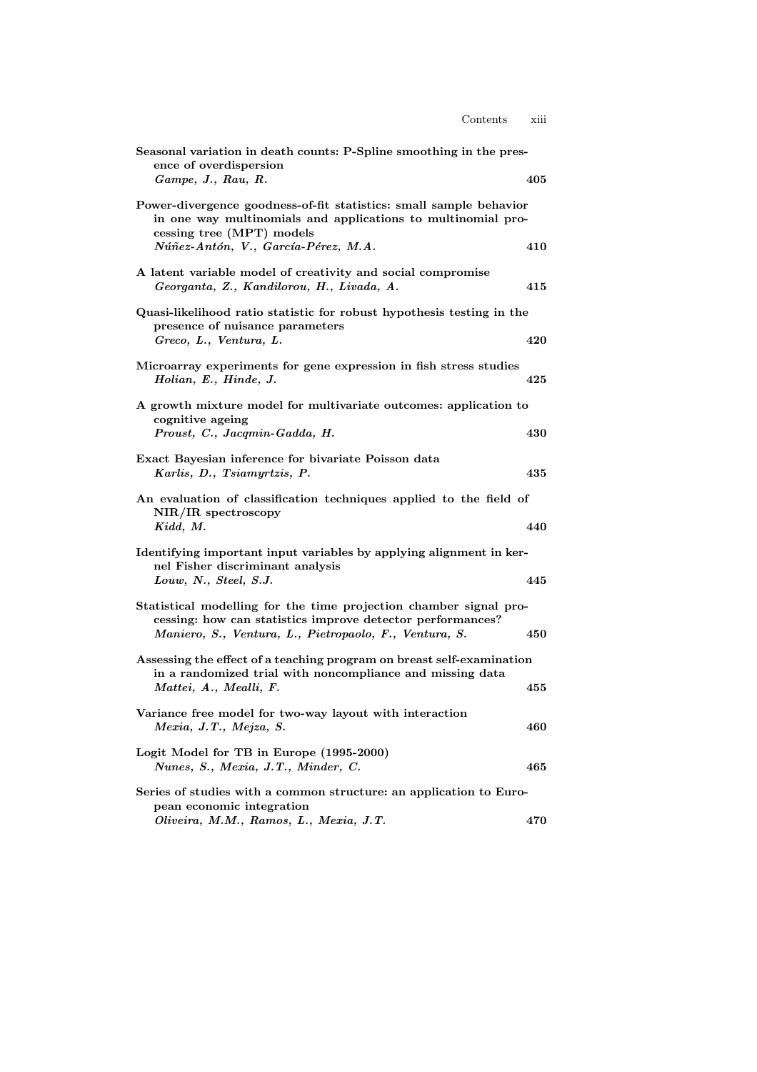| Seasonal variation in death counts: P-Spline smoothing in the pres-<br>ence of overdispersion                                                                   |     |
|-----------------------------------------------------------------------------------------------------------------------------------------------------------------|-----|
| Game, J., Rau, R.                                                                                                                                               | 405 |
| Power-divergence goodness-of-fit statistics: small sample behavior<br>in one way multinomials and applications to multinomial pro-<br>cessing tree (MPT) models |     |
| Núñez-Antón, V., García-Pérez, M.A.                                                                                                                             | 410 |
| A latent variable model of creativity and social compromise<br>Georganta, Z., Kandilorou, H., Livada, A.                                                        | 415 |
| Quasi-likelihood ratio statistic for robust hypothesis testing in the<br>presence of nuisance parameters                                                        |     |
| Greco, L., Ventura, L.                                                                                                                                          | 420 |
| Microarray experiments for gene expression in fish stress studies<br>Holian, E., Hinde, J.                                                                      | 425 |
| A growth mixture model for multivariate outcomes: application to<br>cognitive ageing<br>Proust, C., Jacqmin-Gadda, H.                                           | 430 |
|                                                                                                                                                                 |     |
| Exact Bayesian inference for bivariate Poisson data<br>Karlis, D., Tsiamyrtzis, P.                                                                              | 435 |
| An evaluation of classification techniques applied to the field of<br>$NIR/IR$ spectroscopy<br>Kidd, M.                                                         | 440 |
|                                                                                                                                                                 |     |
| Identifying important input variables by applying alignment in ker-<br>nel Fisher discriminant analysis                                                         | 445 |
| Louw, N., Steel, S.J.                                                                                                                                           |     |
| Statistical modelling for the time projection chamber signal pro-<br>cessing: how can statistics improve detector performances?                                 |     |
| Maniero, S., Ventura, L., Pietropaolo, F., Ventura, S.                                                                                                          | 450 |
| Assessing the effect of a teaching program on breast self-examination<br>in a randomized trial with noncompliance and missing data                              |     |
| Mattei, A., Mealli, F.                                                                                                                                          | 455 |
| Variance free model for two-way layout with interaction<br>Mexia, J.T., Mejza, S.                                                                               | 460 |
|                                                                                                                                                                 |     |
| Logit Model for TB in Europe (1995-2000)<br>Nunes, S., Mexia, J.T., Minder, C.                                                                                  | 465 |
| Series of studies with a common structure: an application to Euro-<br>pean economic integration                                                                 |     |
| Oliveira, M.M., Ramos, L., Mexia, J.T.                                                                                                                          | 470 |